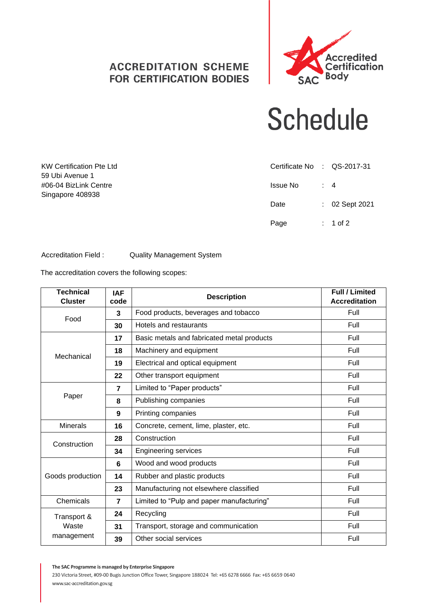## **ACCREDITATION SCHEME FOR CERTIFICATION BODIES**



## **Schedule**

| <b>KW Certification Pte Ltd</b> | Certificate No : QS-2017-31 |                  |
|---------------------------------|-----------------------------|------------------|
| 59 Ubi Avenue 1                 |                             |                  |
| #06-04 BizLink Centre           | Issue No                    | $\div$ 4         |
| Singapore 408938                |                             |                  |
|                                 | Date                        | $: 02$ Sept 2021 |
|                                 |                             |                  |
|                                 | Page                        | $: 1$ of 2       |

Accreditation Field : Quality Management System

The accreditation covers the following scopes:

| <b>Technical</b><br><b>Cluster</b> | <b>IAF</b><br>code | <b>Full / Limited</b><br><b>Description</b><br><b>Accreditation</b> |      |
|------------------------------------|--------------------|---------------------------------------------------------------------|------|
| Food                               | 3                  | Food products, beverages and tobacco                                | Full |
|                                    | 30                 | Hotels and restaurants                                              | Full |
| Mechanical                         | 17                 | Basic metals and fabricated metal products                          | Full |
|                                    | 18                 | Machinery and equipment                                             | Full |
|                                    | 19                 | Electrical and optical equipment                                    | Full |
|                                    | 22                 | Other transport equipment                                           | Full |
| Paper                              | $\overline{7}$     | Limited to "Paper products"                                         | Full |
|                                    | 8                  | Publishing companies                                                | Full |
|                                    | 9                  | Printing companies                                                  | Full |
| <b>Minerals</b>                    | 16                 | Concrete, cement, lime, plaster, etc.                               | Full |
| Construction                       | 28                 | Construction                                                        | Full |
|                                    | 34                 | <b>Engineering services</b>                                         | Full |
| Goods production                   | 6                  | Wood and wood products                                              | Full |
|                                    | 14                 | Rubber and plastic products                                         | Full |
|                                    | 23                 | Manufacturing not elsewhere classified                              | Full |
| Chemicals                          | $\overline{7}$     | Limited to "Pulp and paper manufacturing"                           | Full |
| Transport &                        | 24                 | Recycling                                                           | Full |
| Waste<br>management                | 31                 | Transport, storage and communication                                | Full |
|                                    | 39                 | Other social services                                               | Full |

**The SAC Programme is managed by Enterprise Singapore**

230 Victoria Street, #09-00 Bugis Junction Office Tower, Singapore 188024 Tel: +65 6278 6666 Fax: +65 6659 0640 www.sac-accreditation.gov.sg